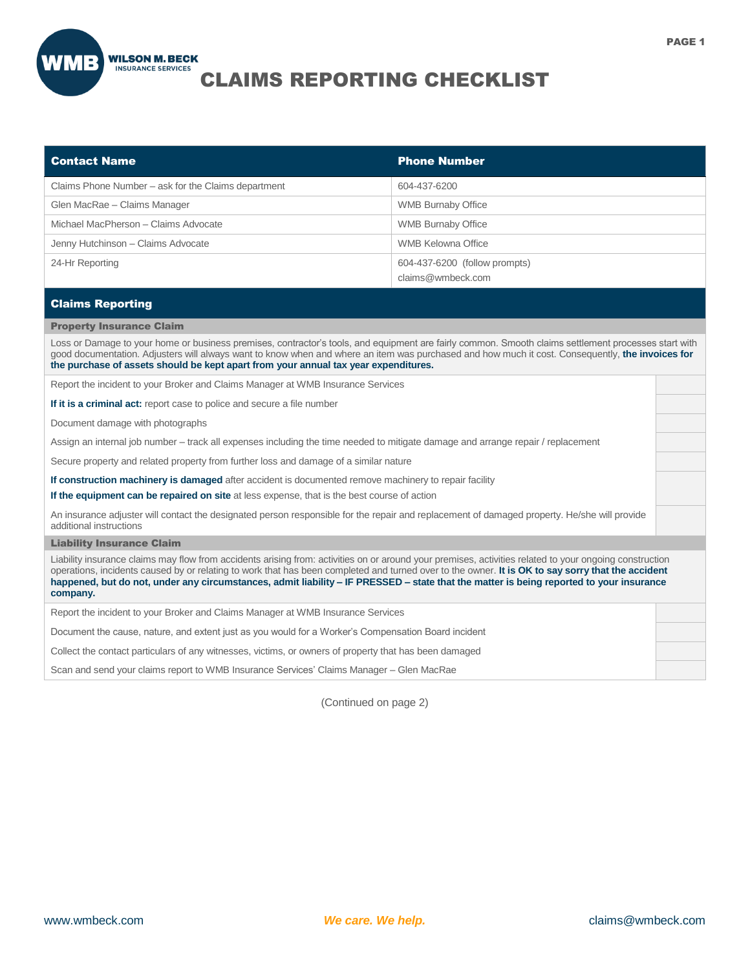

## CLAIMS REPORTING CHECKLIST

| <b>Contact Name</b>                                 | <b>Phone Number</b>                                |
|-----------------------------------------------------|----------------------------------------------------|
| Claims Phone Number – ask for the Claims department | 604-437-6200                                       |
| Glen MacRae - Claims Manager                        | <b>WMB Burnaby Office</b>                          |
| Michael MacPherson - Claims Advocate                | <b>WMB Burnaby Office</b>                          |
| Jenny Hutchinson - Claims Advocate                  | WMB Kelowna Office                                 |
| 24-Hr Reporting                                     | 604-437-6200 (follow prompts)<br>claims@wmbeck.com |
| <b>Claims Reporting</b>                             |                                                    |

## Property Insurance Claim

Loss or Damage to your home or business premises, contractor's tools, and equipment are fairly common. Smooth claims settlement processes start with good documentation. Adjusters will always want to know when and where an item was purchased and how much it cost. Consequently, **the invoices for the purchase of assets should be kept apart from your annual tax year expenditures.**

Report the incident to your Broker and Claims Manager at WMB Insurance Services

**If it is a criminal act:** report case to police and secure a file number

Document damage with photographs

Assign an internal job number – track all expenses including the time needed to mitigate damage and arrange repair / replacement

Secure property and related property from further loss and damage of a similar nature

**If construction machinery is damaged** after accident is documented remove machinery to repair facility

**If the equipment can be repaired on site** at less expense, that is the best course of action

An insurance adjuster will contact the designated person responsible for the repair and replacement of damaged property. He/she will provide additional instructions

## Liability Insurance Claim

Liability insurance claims may flow from accidents arising from: activities on or around your premises, activities related to your ongoing construction operations, incidents caused by or relating to work that has been completed and turned over to the owner. **It is OK to say sorry that the accident happened, but do not, under any circumstances, admit liability – IF PRESSED – state that the matter is being reported to your insurance company.**

Report the incident to your Broker and Claims Manager at WMB Insurance Services

Document the cause, nature, and extent just as you would for a Worker's Compensation Board incident

Collect the contact particulars of any witnesses, victims, or owners of property that has been damaged

Scan and send your claims report to WMB Insurance Services' Claims Manager – Glen MacRae

(Continued on page 2)